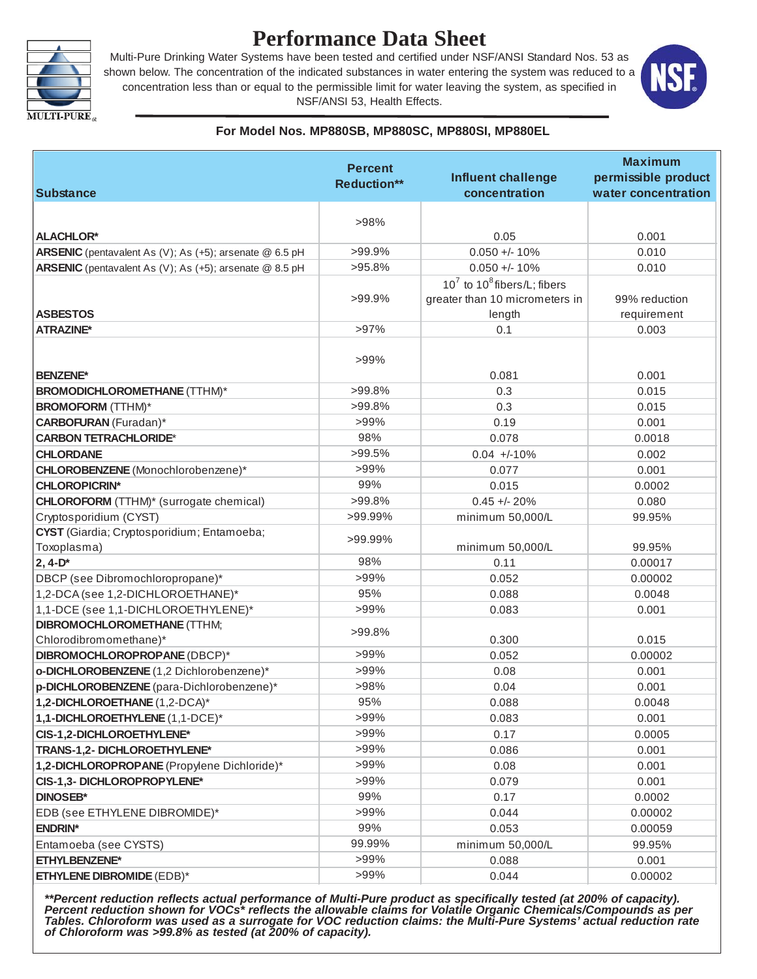

# **Performance Data Sheet**

Multi-Pure Drinking Water Systems have been tested and certified under NSF/ANSI Standard Nos. 53 as shown below. The concentration of the indicated substances in water entering the system was reduced to a concentration less than or equal to the permissible limit for water leaving the system, as specified in NSF/ANSI 53, Health Effects.



#### **For Model Nos. MP880SB, MP880SC, MP880SI, MP880EL**

|                                                         | <b>Percent</b>     |                                                                     | <b>Maximum</b>      |
|---------------------------------------------------------|--------------------|---------------------------------------------------------------------|---------------------|
|                                                         | <b>Reduction**</b> | <b>Influent challenge</b>                                           | permissible product |
| <b>Substance</b>                                        |                    | concentration                                                       | water concentration |
|                                                         |                    |                                                                     |                     |
|                                                         | >98%               |                                                                     |                     |
| <b>ALACHLOR*</b>                                        | >99.9%             | 0.05                                                                | 0.001               |
| ARSENIC (pentavalent As (V); As (+5); arsenate @ 6.5 pH | $>95.8\%$          | $0.050 +/- 10%$                                                     | 0.010               |
| ARSENIC (pentavalent As (V); As (+5); arsenate @ 8.5 pH |                    | $0.050 +/- 10%$                                                     | 0.010               |
|                                                         | >99.9%             | $10^7$ to $10^8$ fibers/L; fibers<br>greater than 10 micrometers in | 99% reduction       |
| <b>ASBESTOS</b>                                         |                    | length                                                              | requirement         |
| <b>ATRAZINE*</b>                                        | $>97\%$            | 0.1                                                                 | 0.003               |
|                                                         |                    |                                                                     |                     |
|                                                         | >99%               |                                                                     |                     |
| <b>BENZENE*</b>                                         |                    | 0.081                                                               | 0.001               |
| <b>BROMODICHLOROMETHANE (TTHM)*</b>                     | $>99.8\%$          | 0.3                                                                 | 0.015               |
| <b>BROMOFORM</b> (TTHM)*                                | $>99.8\%$          | 0.3                                                                 | 0.015               |
| <b>CARBOFURAN</b> (Furadan)*                            | >99%               | 0.19                                                                | 0.001               |
| <b>CARBON TETRACHLORIDE*</b>                            | 98%                | 0.078                                                               | 0.0018              |
| <b>CHLORDANE</b>                                        | $>99.5\%$          | $0.04 +10\%$                                                        | 0.002               |
| CHLOROBENZENE (Monochlorobenzene)*                      | >99%               | 0.077                                                               | 0.001               |
| <b>CHLOROPICRIN*</b>                                    | 99%                | 0.015                                                               | 0.0002              |
| <b>CHLOROFORM</b> (TTHM)* (surrogate chemical)          | >99.8%             | $0.45 + - 20%$                                                      | 0.080               |
| Cryptosporidium (CYST)                                  | >99.99%            | minimum 50,000/L                                                    | 99.95%              |
| CYST (Giardia; Cryptosporidium; Entamoeba;              | >99.99%            |                                                                     |                     |
| Toxoplasma)                                             |                    | minimum 50,000/L                                                    | 99.95%              |
| $2, 4-D*$                                               | 98%                | 0.11                                                                | 0.00017             |
| DBCP (see Dibromochloropropane)*                        | >99%               | 0.052                                                               | 0.00002             |
| 1,2-DCA (see 1,2-DICHLOROETHANE)*                       | 95%                | 0.088                                                               | 0.0048              |
| 1,1-DCE (see 1,1-DICHLOROETHYLENE)*                     | >99%               | 0.083                                                               | 0.001               |
| <b>DIBROMOCHLOROMETHANE (TTHM;</b>                      | $>99.8\%$          |                                                                     |                     |
| Chlorodibromomethane)*                                  |                    | 0.300                                                               | 0.015               |
| DIBROMOCHLOROPROPANE (DBCP)*                            | >99%               | 0.052                                                               | 0.00002             |
| o-DICHLOROBENZENE (1,2 Dichlorobenzene)*                | >99%               | 0.08                                                                | 0.001               |
| p-DICHLOROBENZENE (para-Dichlorobenzene)*               | >98%               | 0.04                                                                | 0.001               |
| 1,2-DICHLOROETHANE (1,2-DCA)*                           | 95%                | 0.088                                                               | 0.0048              |
| 1,1-DICHLOROETHYLENE (1,1-DCE)*                         | $>99\%$            | 0.083                                                               | 0.001               |
| CIS-1,2-DICHLOROETHYLENE*                               | $>99\%$            | 0.17                                                                | 0.0005              |
| TRANS-1,2- DICHLOROETHYLENE*                            | $>99\%$            | 0.086                                                               | 0.001               |
| 1,2-DICHLOROPROPANE (Propylene Dichloride)*             | $>99\%$            | 0.08                                                                | 0.001               |
| CIS-1,3- DICHLOROPROPYLENE*                             | $>99\%$            | 0.079                                                               | 0.001               |
| <b>DINOSEB*</b>                                         | 99%                | 0.17                                                                | 0.0002              |
| EDB (see ETHYLENE DIBROMIDE)*                           | >99%               | 0.044                                                               | 0.00002             |
| <b>ENDRIN*</b>                                          | 99%                | 0.053                                                               | 0.00059             |
| Entamoeba (see CYSTS)                                   | 99.99%             | minimum 50,000/L                                                    | 99.95%              |
| <b>ETHYLBENZENE*</b>                                    | $>99\%$            | 0.088                                                               | 0.001               |
| <b>ETHYLENE DIBROMIDE (EDB)*</b>                        | $>99\%$            | 0.044                                                               | 0.00002             |

*\*\*Percent reduction reflects actual performance of Multi-Pure product as specifically tested (at 200% of capacity). Percent reduction shown for VOCs\* reflects the allowable claims for Volatile Organic Chemicals/Compounds as per Tables. Chloroform was used as a surrogate for VOC reduction claims: the Multi-Pure Systems' actual reduction rate of Chloroform was >99.8% as tested (at 200% of capacity).*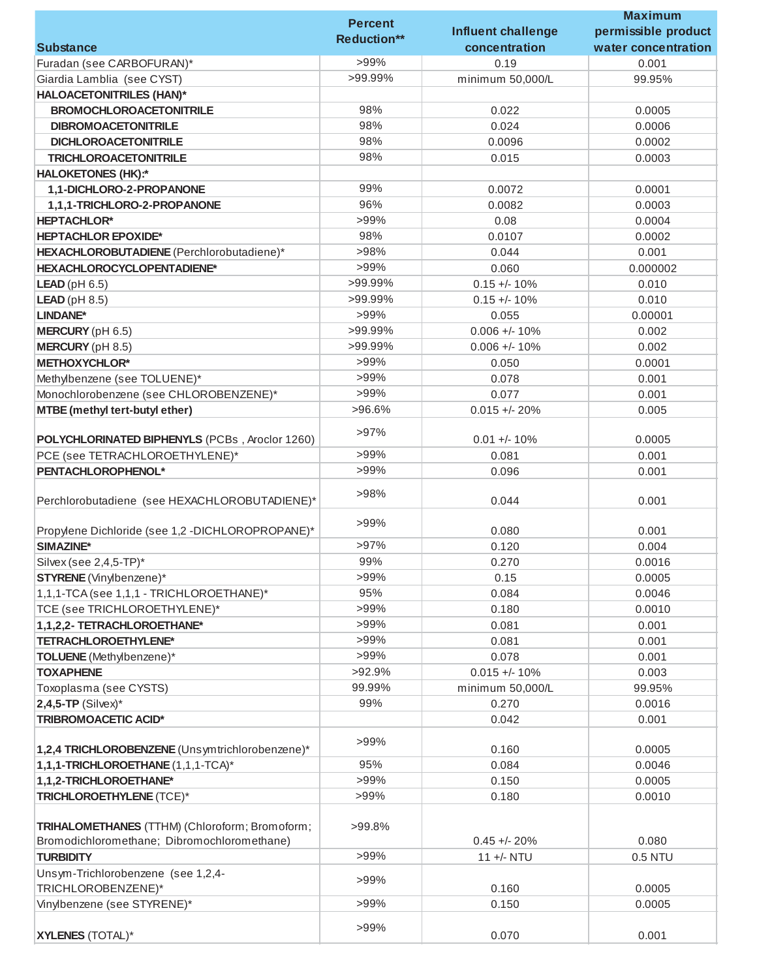|                                                  | <b>Percent</b>     |                           | <b>Maximum</b>      |
|--------------------------------------------------|--------------------|---------------------------|---------------------|
|                                                  |                    | <b>Influent challenge</b> | permissible product |
| <b>Substance</b>                                 | <b>Reduction**</b> | concentration             | water concentration |
| Furadan (see CARBOFURAN)*                        | >99%               | 0.19                      | 0.001               |
| Giardia Lamblia (see CYST)                       | >99.99%            | minimum 50,000/L          | 99.95%              |
| <b>HALOACETONITRILES (HAN)*</b>                  |                    |                           |                     |
| <b>BROMOCHLOROACETONITRILE</b>                   | 98%                | 0.022                     | 0.0005              |
|                                                  | 98%                |                           |                     |
| <b>DIBROMOACETONITRILE</b>                       |                    | 0.024                     | 0.0006              |
| <b>DICHLOROACETONITRILE</b>                      | 98%                | 0.0096                    | 0.0002              |
| <b>TRICHLOROACETONITRILE</b>                     | 98%                | 0.015                     | 0.0003              |
| <b>HALOKETONES (HK):*</b>                        |                    |                           |                     |
| 1,1-DICHLORO-2-PROPANONE                         | 99%                | 0.0072                    | 0.0001              |
| 1,1,1-TRICHLORO-2-PROPANONE                      | 96%                | 0.0082                    | 0.0003              |
| <b>HEPTACHLOR*</b>                               | >99%               | 0.08                      | 0.0004              |
| <b>HEPTACHLOR EPOXIDE*</b>                       | 98%                | 0.0107                    | 0.0002              |
| HEXACHLOROBUTADIENE (Perchlorobutadiene)*        | >98%               | 0.044                     | 0.001               |
| HEXACHLOROCYCLOPENTADIENE*                       | $>99\%$            | 0.060                     | 0.000002            |
| <b>LEAD</b> ( $pH 6.5$ )                         | >99.99%            | $0.15 +/- 10%$            | 0.010               |
| <b>LEAD</b> ( $pH 8.5$ )                         | >99.99%            | $0.15 +/- 10%$            | 0.010               |
| LINDANE*                                         | >99%               | 0.055                     | 0.00001             |
| <b>MERCURY</b> (pH 6.5)                          | >99.99%            | $0.006 +/- 10%$           | 0.002               |
| <b>MERCURY</b> (pH 8.5)                          | >99.99%            | $0.006 +/- 10%$           | 0.002               |
|                                                  | $>99\%$            |                           |                     |
| <b>METHOXYCHLOR*</b>                             |                    | 0.050                     | 0.0001              |
| Methylbenzene (see TOLUENE)*                     | >99%               | 0.078                     | 0.001               |
| Monochlorobenzene (see CHLOROBENZENE)*           | $>99\%$            | 0.077                     | 0.001               |
| <b>MTBE</b> (methyl tert-butyl ether)            | >96.6%             | $0.015 + - 20%$           | 0.005               |
|                                                  | $>97\%$            |                           |                     |
| POLYCHLORINATED BIPHENYLS (PCBs, Aroclor 1260)   |                    | $0.01 +/- 10%$            | 0.0005              |
| PCE (see TETRACHLOROETHYLENE)*                   | $>99\%$            | 0.081                     | 0.001               |
| PENTACHLOROPHENOL*                               | >99%               | 0.096                     | 0.001               |
|                                                  | >98%               |                           |                     |
| Perchlorobutadiene (see HEXACHLOROBUTADIENE)*    |                    | 0.044                     | 0.001               |
|                                                  | $>99\%$            |                           |                     |
| Propylene Dichloride (see 1,2 -DICHLOROPROPANE)* |                    | 0.080                     | 0.001               |
| SIMAZINE*                                        | $>97\%$            | 0.120                     | 0.004               |
| Silvex (see 2,4,5-TP)*                           | 99%                | 0.270                     | 0.0016              |
| <b>STYRENE</b> (Vinylbenzene)*                   | $>99\%$            | 0.15                      | 0.0005              |
| 1,1,1-TCA (see 1,1,1 - TRICHLOROETHANE)*         | 95%                | 0.084                     | 0.0046              |
| TCE (see TRICHLOROETHYLENE)*                     | >99%               | 0.180                     | 0.0010              |
| 1,1,2,2- TETRACHLOROETHANE*                      | >99%               | 0.081                     | 0.001               |
| TETRACHLOROETHYLENE*                             | >99%               | 0.081                     | 0.001               |
| TOLUENE (Methylbenzene)*                         | >99%               | 0.078                     | 0.001               |
| <b>TOXAPHENE</b>                                 | >92.9%             | $0.015 +/- 10%$           | 0.003               |
| Toxoplasma (see CYSTS)                           | 99.99%             | minimum 50,000/L          | 99.95%              |
| $2,4,5$ -TP (Silvex)*                            | 99%                | 0.270                     | 0.0016              |
| <b>TRIBROMOACETIC ACID*</b>                      |                    |                           |                     |
|                                                  |                    | 0.042                     | 0.001               |
| 1,2,4 TRICHLOROBENZENE (Unsymtrichlorobenzene)*  | $>99\%$            | 0.160                     | 0.0005              |
|                                                  |                    |                           |                     |
| 1,1,1-TRICHLOROETHANE (1,1,1-TCA)*               | 95%                | 0.084                     | 0.0046              |
| 1,1,2-TRICHLOROETHANE*                           | $>99\%$            | 0.150                     | 0.0005              |
| TRICHLOROETHYLENE (TCE)*                         | >99%               | 0.180                     | 0.0010              |
|                                                  |                    |                           |                     |
| TRIHALOMETHANES (TTHM) (Chloroform; Bromoform;   | >99.8%             |                           |                     |
| Bromodichloromethane; Dibromochloromethane)      |                    | $0.45 +/- 20%$            | 0.080               |
| <b>TURBIDITY</b>                                 | >99%               | 11 +/- NTU                | 0.5 NTU             |
| Unsym-Trichlorobenzene (see 1,2,4-               | >99%               |                           |                     |
| TRICHLOROBENZENE)*                               |                    | 0.160                     | 0.0005              |
| Vinylbenzene (see STYRENE)*                      | >99%               | 0.150                     | 0.0005              |
|                                                  |                    |                           |                     |
| <b>XYLENES</b> (TOTAL)*                          | $>99\%$            | 0.070                     | 0.001               |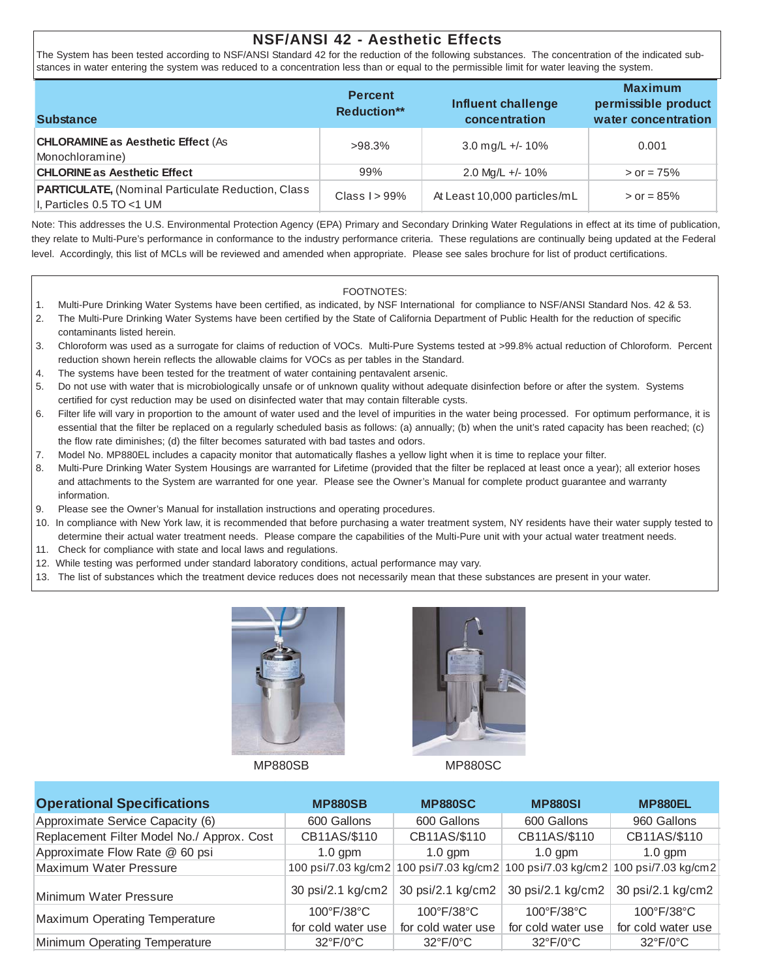### **NSF/ANSI 42 - Aesthetic Effects**

The System has been tested according to NSF/ANSI Standard 42 for the reduction of the following substances. The concentration of the indicated substances in water entering the system was reduced to a concentration less than or equal to the permissible limit for water leaving the system.

| <b>Substance</b>                                                                          | <b>Percent</b><br><b>Reduction**</b> | <b>Influent challenge</b><br>concentration | <b>Maximum</b><br>permissible product<br>water concentration |
|-------------------------------------------------------------------------------------------|--------------------------------------|--------------------------------------------|--------------------------------------------------------------|
| <b>CHLORAMINE as Aesthetic Effect (As</b><br>Monochloramine)                              | $>98.3\%$                            | 3.0 mg/L +/- 10%                           | 0.001                                                        |
| <b>CHLORINE as Aesthetic Effect</b>                                                       | 99%                                  | 2.0 Mg/L +/- $10\%$                        | $>$ or = 75%                                                 |
| <b>PARTICULATE, (Nominal Particulate Reduction, Class</b><br>$ I,$ Particles 0.5 TO <1 UM | Class $1 > 99\%$                     | At Least 10,000 particles/mL               | $>$ or = 85%                                                 |

Note: This addresses the U.S. Environmental Protection Agency (EPA) Primary and Secondary Drinking Water Regulations in effect at its time of publication, they relate to Multi-Pure's performance in conformance to the industry performance criteria. These regulations are continually being updated at the Federal level. Accordingly, this list of MCLs will be reviewed and amended when appropriate. Please see sales brochure for list of product certifications.

#### FOOTNOTES:

- 1. Multi-Pure Drinking Water Systems have been certified, as indicated, by NSF International for compliance to NSF/ANSI Standard Nos. 42 & 53.
- 2. The Multi-Pure Drinking Water Systems have been certified by the State of California Department of Public Health for the reduction of specific contaminants listed herein.
- 3. Chloroform was used as a surrogate for claims of reduction of VOCs. Multi-Pure Systems tested at >99.8% actual reduction of Chloroform. Percent reduction shown herein reflects the allowable claims for VOCs as per tables in the Standard.
- 4. The systems have been tested for the treatment of water containing pentavalent arsenic.
- 5. Do not use with water that is microbiologically unsafe or of unknown quality without adequate disinfection before or after the system. Systems certified for cyst reduction may be used on disinfected water that may contain filterable cysts.
- 6. Filter life will vary in proportion to the amount of water used and the level of impurities in the water being processed. For optimum performance, it is essential that the filter be replaced on a regularly scheduled basis as follows: (a) annually; (b) when the unit's rated capacity has been reached; (c) the flow rate diminishes; (d) the filter becomes saturated with bad tastes and odors.
- 7. Model No. MP880EL includes a capacity monitor that automatically flashes a yellow light when it is time to replace your filter.
- 8. Multi-Pure Drinking Water System Housings are warranted for Lifetime (provided that the filter be replaced at least once a year); all exterior hoses and attachments to the System are warranted for one year. Please see the Owner's Manual for complete product guarantee and warranty information.
- 9. Please see the Owner's Manual for installation instructions and operating procedures.
- 10. In compliance with New York law, it is recommended that before purchasing a water treatment system, NY residents have their water supply tested to determine their actual water treatment needs. Please compare the capabilities of the Multi-Pure unit with your actual water treatment needs.
- 11. Check for compliance with state and local laws and regulations.
- 12. While testing was performed under standard laboratory conditions, actual performance may vary.
- 13. The list of substances which the treatment device reduces does not necessarily mean that these substances are present in your water.





MP880SB MP880SC

| <b>Operational Specifications</b>          | <b>MP880SB</b>                  | <b>MP880SC</b>                          | <b>MP880SI</b>                  | <b>MP880EL</b>                          |
|--------------------------------------------|---------------------------------|-----------------------------------------|---------------------------------|-----------------------------------------|
| Approximate Service Capacity (6)           | 600 Gallons                     | 600 Gallons                             | 600 Gallons                     | 960 Gallons                             |
| Replacement Filter Model No./ Approx. Cost | CB11AS/\$110                    | CB11AS/\$110                            | CB11AS/\$110                    | CB11AS/\$110                            |
| Approximate Flow Rate @ 60 psi             | $1.0$ gpm                       | $1.0$ gpm                               | $1.0$ gpm                       | $1.0$ gpm                               |
| Maximum Water Pressure                     |                                 | 100 psi/7.03 kg/cm2 100 psi/7.03 kg/cm2 |                                 | 100 psi/7.03 kg/cm2 100 psi/7.03 kg/cm2 |
| Minimum Water Pressure                     | 30 psi/2.1 kg/cm2               | 30 psi/2.1 kg/cm2                       | 30 psi/2.1 kg/cm2               | 30 psi/2.1 kg/cm2                       |
| <b>Maximum Operating Temperature</b>       | $100^{\circ}$ F/38 $^{\circ}$ C | $100^{\circ}$ F/38 $^{\circ}$ C         | $100^{\circ}$ F/38 $^{\circ}$ C | $100^{\circ}$ F/38 $^{\circ}$ C         |
|                                            | for cold water use              | for cold water use                      | for cold water use              | for cold water use                      |
| Minimum Operating Temperature              | $32^{\circ}F/0^{\circ}C$        | $32^{\circ}F/0^{\circ}C$                | $32^{\circ}F/0^{\circ}C$        | $32^{\circ}F/0^{\circ}C$                |